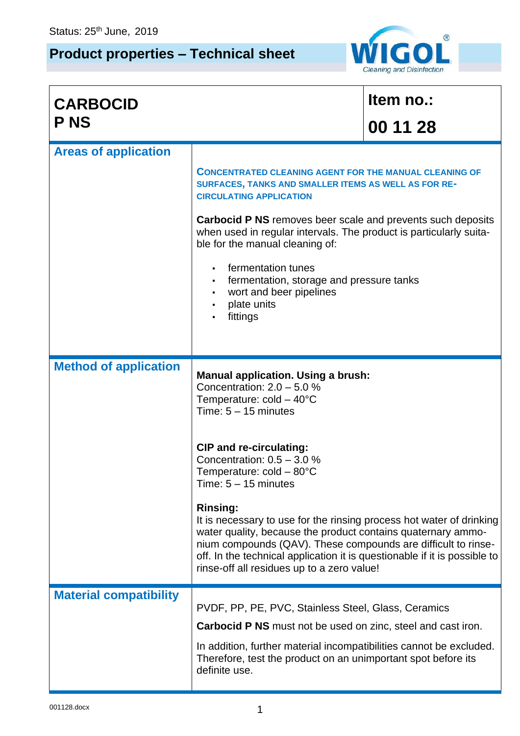## **Product properties – Technical sheet**



| <b>CARBOCID</b>               |                                                                                                                                                                                                                                                                                                                                                     | Item no.: |  |  |  |
|-------------------------------|-----------------------------------------------------------------------------------------------------------------------------------------------------------------------------------------------------------------------------------------------------------------------------------------------------------------------------------------------------|-----------|--|--|--|
| <b>PNS</b>                    |                                                                                                                                                                                                                                                                                                                                                     | 00 11 28  |  |  |  |
| <b>Areas of application</b>   |                                                                                                                                                                                                                                                                                                                                                     |           |  |  |  |
|                               | <b>CONCENTRATED CLEANING AGENT FOR THE MANUAL CLEANING OF</b><br>SURFACES, TANKS AND SMALLER ITEMS AS WELL AS FOR RE-<br><b>CIRCULATING APPLICATION</b>                                                                                                                                                                                             |           |  |  |  |
|                               | <b>Carbocid P NS</b> removes beer scale and prevents such deposits<br>when used in regular intervals. The product is particularly suita-<br>ble for the manual cleaning of:                                                                                                                                                                         |           |  |  |  |
|                               | fermentation tunes<br>fermentation, storage and pressure tanks<br>wort and beer pipelines<br>plate units<br>fittings                                                                                                                                                                                                                                |           |  |  |  |
| <b>Method of application</b>  | <b>Manual application. Using a brush:</b><br>Concentration: $2.0 - 5.0 %$<br>Temperature: $cold - 40^{\circ}C$<br>Time: $5 - 15$ minutes                                                                                                                                                                                                            |           |  |  |  |
|                               | <b>CIP and re-circulating:</b><br>Concentration: $0.5 - 3.0$ %<br>Temperature: $cold - 80^{\circ}C$<br>Time: 5 – 15 minutes                                                                                                                                                                                                                         |           |  |  |  |
|                               | <b>Rinsing:</b><br>It is necessary to use for the rinsing process hot water of drinking<br>water quality, because the product contains quaternary ammo-<br>nium compounds (QAV). These compounds are difficult to rinse-<br>off. In the technical application it is questionable if it is possible to<br>rinse-off all residues up to a zero value! |           |  |  |  |
| <b>Material compatibility</b> | PVDF, PP, PE, PVC, Stainless Steel, Glass, Ceramics<br><b>Carbocid P NS</b> must not be used on zinc, steel and cast iron.<br>In addition, further material incompatibilities cannot be excluded.                                                                                                                                                   |           |  |  |  |
|                               | Therefore, test the product on an unimportant spot before its<br>definite use.                                                                                                                                                                                                                                                                      |           |  |  |  |